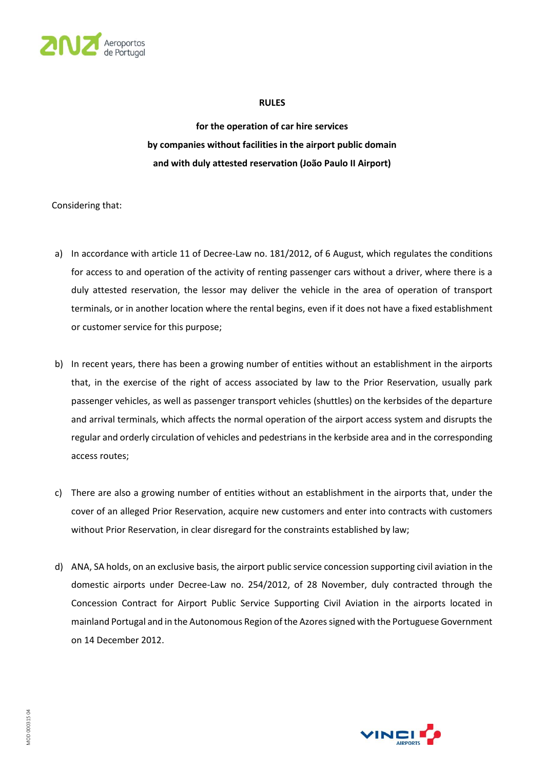

#### **RULES**

**for the operation of car hire services by companies without facilities in the airport public domain and with duly attested reservation (João Paulo II Airport)**

Considering that:

- a) In accordance with article 11 of Decree-Law no. 181/2012, of 6 August, which regulates the conditions for access to and operation of the activity of renting passenger cars without a driver, where there is a duly attested reservation, the lessor may deliver the vehicle in the area of operation of transport terminals, or in another location where the rental begins, even if it does not have a fixed establishment or customer service for this purpose;
- b) In recent years, there has been a growing number of entities without an establishment in the airports that, in the exercise of the right of access associated by law to the Prior Reservation, usually park passenger vehicles, as well as passenger transport vehicles (shuttles) on the kerbsides of the departure and arrival terminals, which affects the normal operation of the airport access system and disrupts the regular and orderly circulation of vehicles and pedestrians in the kerbside area and in the corresponding access routes;
- c) There are also a growing number of entities without an establishment in the airports that, under the cover of an alleged Prior Reservation, acquire new customers and enter into contracts with customers without Prior Reservation, in clear disregard for the constraints established by law;
- d) ANA, SA holds, on an exclusive basis, the airport public service concession supporting civil aviation in the domestic airports under Decree-Law no. 254/2012, of 28 November, duly contracted through the Concession Contract for Airport Public Service Supporting Civil Aviation in the airports located in mainland Portugal and in the Autonomous Region of the Azores signed with the Portuguese Government on 14 December 2012.

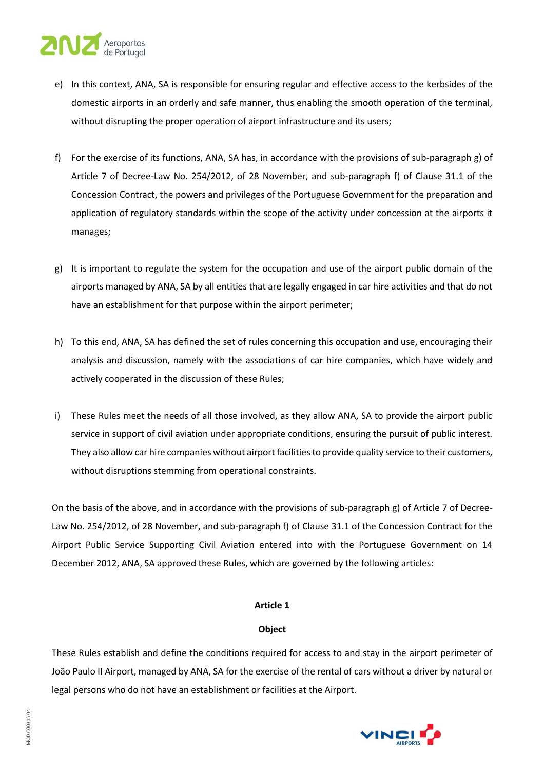## Aeroportos

- e) In this context, ANA, SA is responsible for ensuring regular and effective access to the kerbsides of the domestic airports in an orderly and safe manner, thus enabling the smooth operation of the terminal, without disrupting the proper operation of airport infrastructure and its users;
- f) For the exercise of its functions, ANA, SA has, in accordance with the provisions of sub-paragraph g) of Article 7 of Decree-Law No. 254/2012, of 28 November, and sub-paragraph f) of Clause 31.1 of the Concession Contract, the powers and privileges of the Portuguese Government for the preparation and application of regulatory standards within the scope of the activity under concession at the airports it manages;
- g) It is important to regulate the system for the occupation and use of the airport public domain of the airports managed by ANA, SA by all entities that are legally engaged in car hire activities and that do not have an establishment for that purpose within the airport perimeter;
- h) To this end, ANA, SA has defined the set of rules concerning this occupation and use, encouraging their analysis and discussion, namely with the associations of car hire companies, which have widely and actively cooperated in the discussion of these Rules;
- i) These Rules meet the needs of all those involved, as they allow ANA, SA to provide the airport public service in support of civil aviation under appropriate conditions, ensuring the pursuit of public interest. They also allow car hire companies without airport facilities to provide quality service to their customers, without disruptions stemming from operational constraints.

On the basis of the above, and in accordance with the provisions of sub-paragraph g) of Article 7 of Decree-Law No. 254/2012, of 28 November, and sub-paragraph f) of Clause 31.1 of the Concession Contract for the Airport Public Service Supporting Civil Aviation entered into with the Portuguese Government on 14 December 2012, ANA, SA approved these Rules, which are governed by the following articles:

## **Article 1**

## **Object**

These Rules establish and define the conditions required for access to and stay in the airport perimeter of João Paulo II Airport, managed by ANA, SA for the exercise of the rental of cars without a driver by natural or legal persons who do not have an establishment or facilities at the Airport.

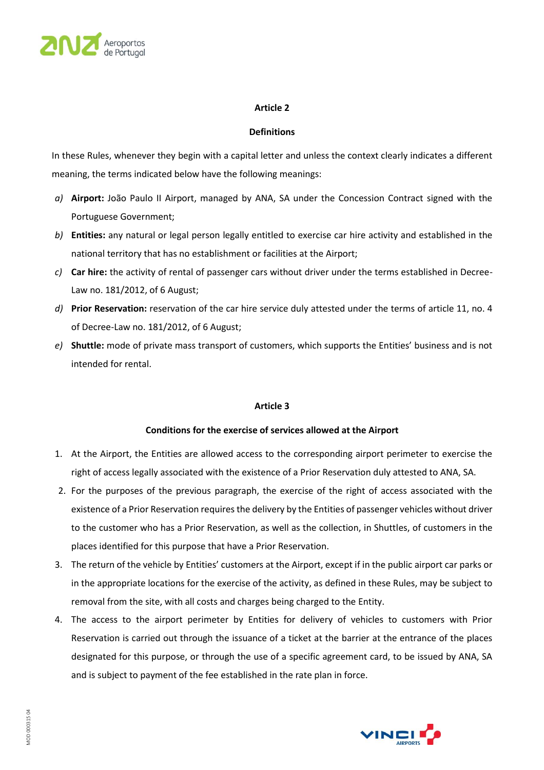

### **Definitions**

In these Rules, whenever they begin with a capital letter and unless the context clearly indicates a different meaning, the terms indicated below have the following meanings:

- *a)* **Airport:** João Paulo II Airport, managed by ANA, SA under the Concession Contract signed with the Portuguese Government;
- *b)* **Entities:** any natural or legal person legally entitled to exercise car hire activity and established in the national territory that has no establishment or facilities at the Airport;
- *c)* **Car hire:** the activity of rental of passenger cars without driver under the terms established in Decree-Law no. 181/2012, of 6 August;
- *d)* **Prior Reservation:** reservation of the car hire service duly attested under the terms of article 11, no. 4 of Decree-Law no. 181/2012, of 6 August;
- *e)* **Shuttle:** mode of private mass transport of customers, which supports the Entities' business and is not intended for rental.

#### **Article 3**

## **Conditions for the exercise of services allowed at the Airport**

- 1. At the Airport, the Entities are allowed access to the corresponding airport perimeter to exercise the right of access legally associated with the existence of a Prior Reservation duly attested to ANA, SA.
- 2. For the purposes of the previous paragraph, the exercise of the right of access associated with the existence of a Prior Reservation requires the delivery by the Entities of passenger vehicles without driver to the customer who has a Prior Reservation, as well as the collection, in Shuttles, of customers in the places identified for this purpose that have a Prior Reservation.
- 3. The return of the vehicle by Entities' customers at the Airport, except if in the public airport car parks or in the appropriate locations for the exercise of the activity, as defined in these Rules, may be subject to removal from the site, with all costs and charges being charged to the Entity.
- 4. The access to the airport perimeter by Entities for delivery of vehicles to customers with Prior Reservation is carried out through the issuance of a ticket at the barrier at the entrance of the places designated for this purpose, or through the use of a specific agreement card, to be issued by ANA, SA and is subject to payment of the fee established in the rate plan in force.

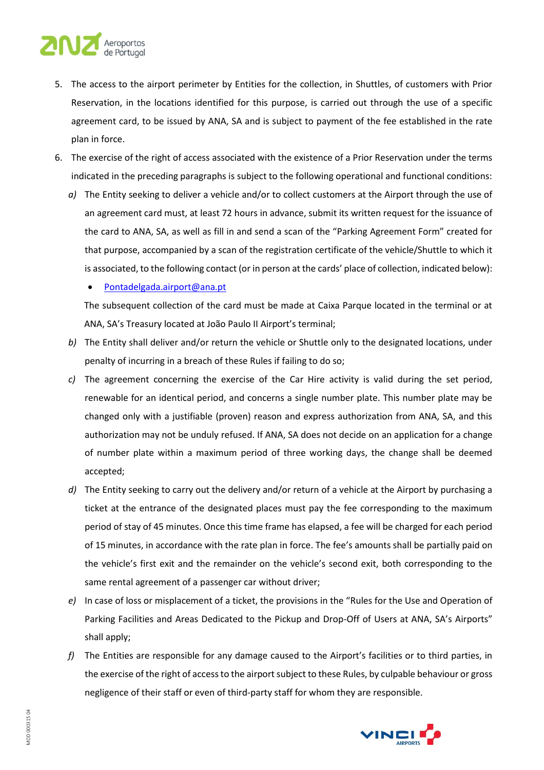# Aeroportos

- 5. The access to the airport perimeter by Entities for the collection, in Shuttles, of customers with Prior Reservation, in the locations identified for this purpose, is carried out through the use of a specific agreement card, to be issued by ANA, SA and is subject to payment of the fee established in the rate plan in force.
- 6. The exercise of the right of access associated with the existence of a Prior Reservation under the terms indicated in the preceding paragraphs is subject to the following operational and functional conditions:
	- *a)* The Entity seeking to deliver a vehicle and/or to collect customers at the Airport through the use of an agreement card must, at least 72 hours in advance, submit its written request for the issuance of the card to ANA, SA, as well as fill in and send a scan of the "Parking Agreement Form" created for that purpose, accompanied by a scan of the registration certificate of the vehicle/Shuttle to which it is associated, to the following contact (or in person at the cards' place of collection, indicated below):

## • [Pontadelgada.airport@ana.pt](mailto:Pontadelgada.airport@ana.pt)

The subsequent collection of the card must be made at Caixa Parque located in the terminal or at ANA, SA's Treasury located at João Paulo II Airport's terminal;

- *b)* The Entity shall deliver and/or return the vehicle or Shuttle only to the designated locations, under penalty of incurring in a breach of these Rules if failing to do so;
- *c)* The agreement concerning the exercise of the Car Hire activity is valid during the set period, renewable for an identical period, and concerns a single number plate. This number plate may be changed only with a justifiable (proven) reason and express authorization from ANA, SA, and this authorization may not be unduly refused. If ANA, SA does not decide on an application for a change of number plate within a maximum period of three working days, the change shall be deemed accepted;
- *d)* The Entity seeking to carry out the delivery and/or return of a vehicle at the Airport by purchasing a ticket at the entrance of the designated places must pay the fee corresponding to the maximum period of stay of 45 minutes. Once this time frame has elapsed, a fee will be charged for each period of 15 minutes, in accordance with the rate plan in force. The fee's amounts shall be partially paid on the vehicle's first exit and the remainder on the vehicle's second exit, both corresponding to the same rental agreement of a passenger car without driver;
- *e)* In case of loss or misplacement of a ticket, the provisions in the "Rules for the Use and Operation of Parking Facilities and Areas Dedicated to the Pickup and Drop-Off of Users at ANA, SA's Airports" shall apply;
- *f)* The Entities are responsible for any damage caused to the Airport's facilities or to third parties, in the exercise of the right of access to the airport subject to these Rules, by culpable behaviour or gross negligence of their staff or even of third-party staff for whom they are responsible.

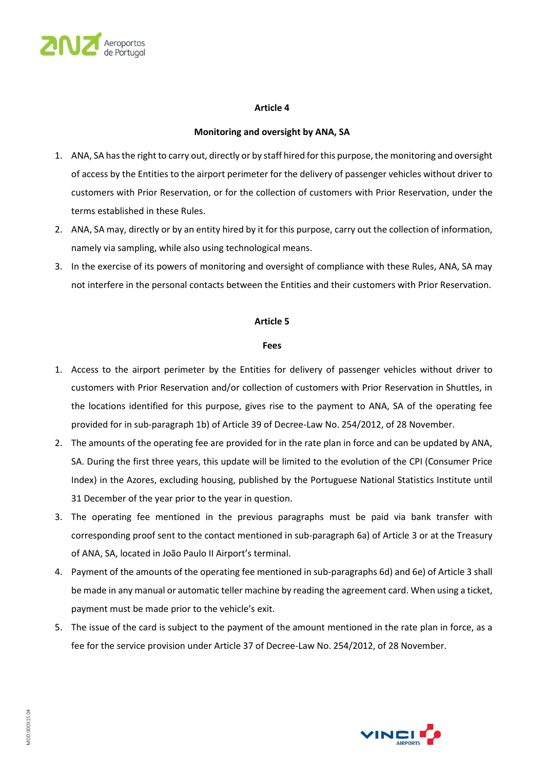

#### **Monitoring and oversight by ANA, SA**

- 1. ANA, SA has the right to carry out, directly or by staff hired for this purpose, the monitoring and oversight of access by the Entities to the airport perimeter for the delivery of passenger vehicles without driver to customers with Prior Reservation, or for the collection of customers with Prior Reservation, under the terms established in these Rules.
- 2. ANA, SA may, directly or by an entity hired by it for this purpose, carry out the collection of information, namely via sampling, while also using technological means.
- 3. In the exercise of its powers of monitoring and oversight of compliance with these Rules, ANA, SA may not interfere in the personal contacts between the Entities and their customers with Prior Reservation.

#### **Article 5**

#### **Fees**

- 1. Access to the airport perimeter by the Entities for delivery of passenger vehicles without driver to customers with Prior Reservation and/or collection of customers with Prior Reservation in Shuttles, in the locations identified for this purpose, gives rise to the payment to ANA, SA of the operating fee provided for in sub-paragraph 1b) of Article 39 of Decree-Law No. 254/2012, of 28 November.
- 2. The amounts of the operating fee are provided for in the rate plan in force and can be updated by ANA, SA. During the first three years, this update will be limited to the evolution of the CPI (Consumer Price Index) in the Azores, excluding housing, published by the Portuguese National Statistics Institute until 31 December of the year prior to the year in question.
- 3. The operating fee mentioned in the previous paragraphs must be paid via bank transfer with corresponding proof sent to the contact mentioned in sub-paragraph 6a) of Article 3 or at the Treasury of ANA, SA, located in João Paulo II Airport's terminal.
- 4. Payment of the amounts of the operating fee mentioned in sub-paragraphs 6d) and 6e) of Article 3 shall be made in any manual or automatic teller machine by reading the agreement card. When using a ticket, payment must be made prior to the vehicle's exit.
- 5. The issue of the card is subject to the payment of the amount mentioned in the rate plan in force, as a fee for the service provision under Article 37 of Decree-Law No. 254/2012, of 28 November.

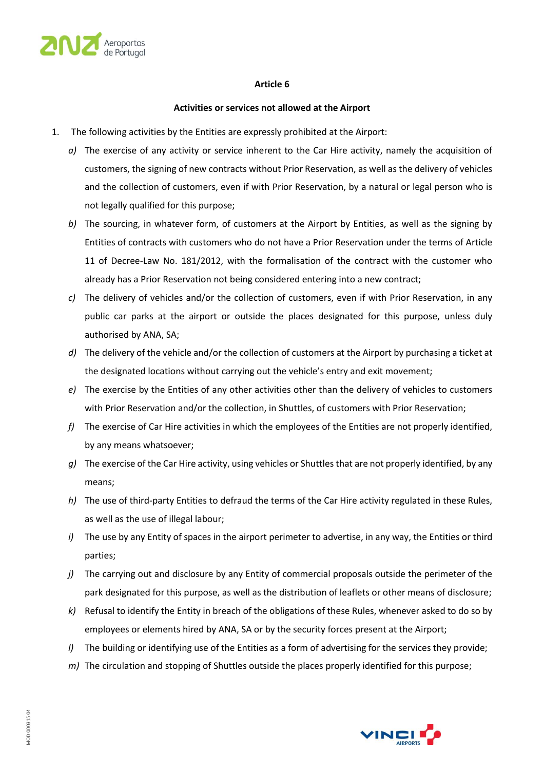

#### **Activities or services not allowed at the Airport**

- 1. The following activities by the Entities are expressly prohibited at the Airport:
	- *a)* The exercise of any activity or service inherent to the Car Hire activity, namely the acquisition of customers, the signing of new contracts without Prior Reservation, as well as the delivery of vehicles and the collection of customers, even if with Prior Reservation, by a natural or legal person who is not legally qualified for this purpose;
	- *b)* The sourcing, in whatever form, of customers at the Airport by Entities, as well as the signing by Entities of contracts with customers who do not have a Prior Reservation under the terms of Article 11 of Decree-Law No. 181/2012, with the formalisation of the contract with the customer who already has a Prior Reservation not being considered entering into a new contract;
	- *c)* The delivery of vehicles and/or the collection of customers, even if with Prior Reservation, in any public car parks at the airport or outside the places designated for this purpose, unless duly authorised by ANA, SA;
	- *d)* The delivery of the vehicle and/or the collection of customers at the Airport by purchasing a ticket at the designated locations without carrying out the vehicle's entry and exit movement;
	- *e)* The exercise by the Entities of any other activities other than the delivery of vehicles to customers with Prior Reservation and/or the collection, in Shuttles, of customers with Prior Reservation;
	- *f)* The exercise of Car Hire activities in which the employees of the Entities are not properly identified, by any means whatsoever;
	- *g)* The exercise of the Car Hire activity, using vehicles or Shuttles that are not properly identified, by any means;
	- *h)* The use of third-party Entities to defraud the terms of the Car Hire activity regulated in these Rules, as well as the use of illegal labour;
	- *i)* The use by any Entity of spaces in the airport perimeter to advertise, in any way, the Entities or third parties;
	- *j)* The carrying out and disclosure by any Entity of commercial proposals outside the perimeter of the park designated for this purpose, as well as the distribution of leaflets or other means of disclosure;
	- *k)* Refusal to identify the Entity in breach of the obligations of these Rules, whenever asked to do so by employees or elements hired by ANA, SA or by the security forces present at the Airport;
	- *l)* The building or identifying use of the Entities as a form of advertising for the services they provide;
	- *m)* The circulation and stopping of Shuttles outside the places properly identified for this purpose;